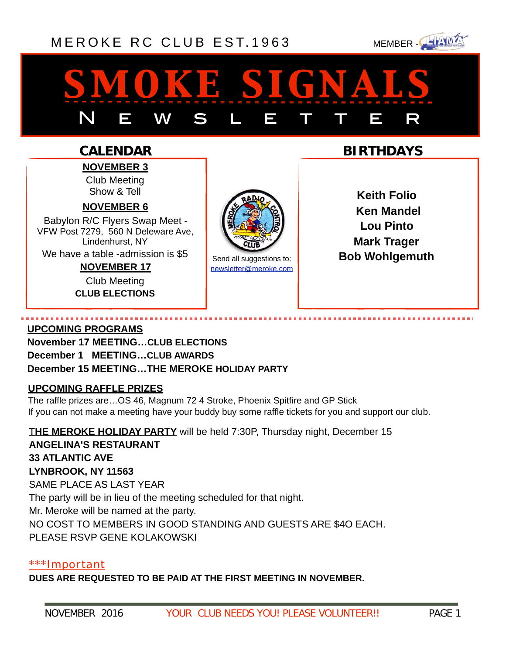### [MEROKE RC CLUB](http://www.meroke.com) EST. 1963 MEMBER-



# *smoke signals* N E W S L E T T E R

### **CALENDAR**

**NOVEMBER 3** Club Meeting Show & Tell

#### **NOVEMBER 6**

Babylon R/C Flyers Swap Meet - VFW Post 7279, 560 N Deleware Ave, Lindenhurst, NY We have a table -admission is \$5

> **NOVEMBER 17**  Club Meeting **CLUB ELECTIONS**



[newsletter@meroke.com](mailto:newsletter@meroke.com)

**BIRTHDAYS**

**Keith Folio Ken Mandel Lou Pinto Mark Trager** Send all suggestions to: **Bob Wohlgemuth** 

#### **UPCOMING PROGRAMS**

**November 17 MEETING…CLUB ELECTIONS December 1 MEETING…CLUB AWARDS December 15 MEETING…THE MEROKE HOLIDAY PARTY**

#### **UPCOMING RAFFLE PRIZES**

The raffle prizes are…OS 46, Magnum 72 4 Stroke, Phoenix Spitfire and GP Stick If you can not make a meeting have your buddy buy some raffle tickets for you and support our club.

T**HE MEROKE HOLIDAY PARTY** will be held 7:30P, Thursday night, December 15 **ANGELINA'S RESTAURANT 33 ATLANTIC AVE LYNBROOK, NY 11563**  SAME PLACE AS LAST YEAR The party will be in lieu of the meeting scheduled for that night. Mr. Meroke will be named at the party. NO COST TO MEMBERS IN GOOD STANDING AND GUESTS ARE \$4O EACH. PLEASE RSVP GENE KOLAKOWSKI

#### \*\*\*Important

**DUES ARE REQUESTED TO BE PAID AT THE FIRST MEETING IN NOVEMBER.**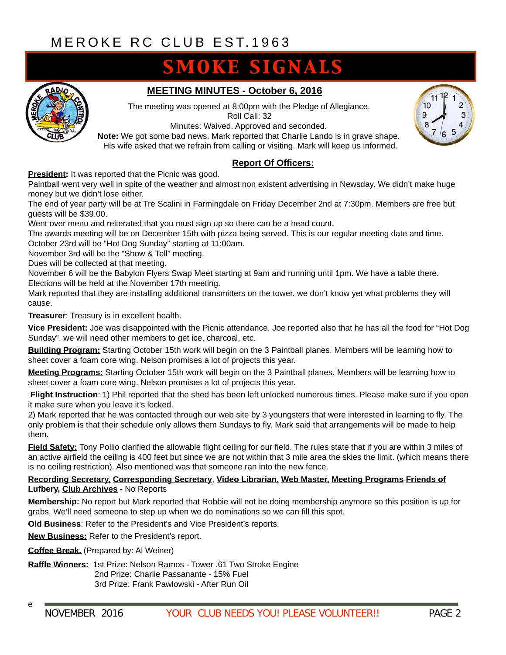# **SMOKE SIGNALS**



#### **MEETING MINUTES - October 6, 2016**

The meeting was opened at 8:00pm with the Pledge of Allegiance. Roll Call: 32

Minutes: Waived. Approved and seconded. **Note:** We got some bad news. Mark reported that Charlie Lando is in grave shape. His wife asked that we refrain from calling or visiting. Mark will keep us informed.

#### **Report Of Officers:**

**President:** It was reported that the Picnic was good.

Paintball went very well in spite of the weather and almost non existent advertising in Newsday. We didn't make huge money but we didn't lose either.

The end of year party will be at Tre Scalini in Farmingdale on Friday December 2nd at 7:30pm. Members are free but guests will be \$39.00.

Went over menu and reiterated that you must sign up so there can be a head count.

The awards meeting will be on December 15th with pizza being served. This is our regular meeting date and time. October 23rd will be "Hot Dog Sunday" starting at 11:00am.

November 3rd will be the "Show & Tell" meeting.

Dues will be collected at that meeting.

November 6 will be the Babylon Flyers Swap Meet starting at 9am and running until 1pm. We have a table there. Elections will be held at the November 17th meeting.

Mark reported that they are installing additional transmitters on the tower. we don't know yet what problems they will cause.

**Treasurer**: Treasury is in excellent health.

**Vice President:** Joe was disappointed with the Picnic attendance. Joe reported also that he has all the food for "Hot Dog Sunday". we will need other members to get ice, charcoal, etc.

**Building Program:** Starting October 15th work will begin on the 3 Paintball planes. Members will be learning how to sheet cover a foam core wing. Nelson promises a lot of projects this year.

**Meeting Programs:** Starting October 15th work will begin on the 3 Paintball planes. Members will be learning how to sheet cover a foam core wing. Nelson promises a lot of projects this year.

**Flight Instruction**: 1) Phil reported that the shed has been left unlocked numerous times. Please make sure if you open it make sure when you leave it's locked.

2) Mark reported that he was contacted through our web site by 3 youngsters that were interested in learning to fly. The only problem is that their schedule only allows them Sundays to fly. Mark said that arrangements will be made to help them.

**Field Safety:** Tony Pollio clarified the allowable flight ceiling for our field. The rules state that if you are within 3 miles of an active airfield the ceiling is 400 feet but since we are not within that 3 mile area the skies the limit. (which means there is no ceiling restriction). Also mentioned was that someone ran into the new fence.

#### **Recording Secretary, Corresponding Secretary**, **Video Librarian, Web Master, Meeting Programs Friends of Lufbery, Club Archives -** No Reports

**Membership:** No report but Mark reported that Robbie will not be doing membership anymore so this position is up for grabs. We'll need someone to step up when we do nominations so we can fill this spot.

**Old Business**: Refer to the President's and Vice President's reports.

**New Business:** Refer to the President's report.

**Coffee Break.** (Prepared by: Al Weiner)

e

**Raffle Winners:** 1st Prize: Nelson Ramos - Tower .61 Two Stroke Engine 2nd Prize: Charlie Passanante - 15% Fuel 3rd Prize: Frank Pawlowski - After Run Oil

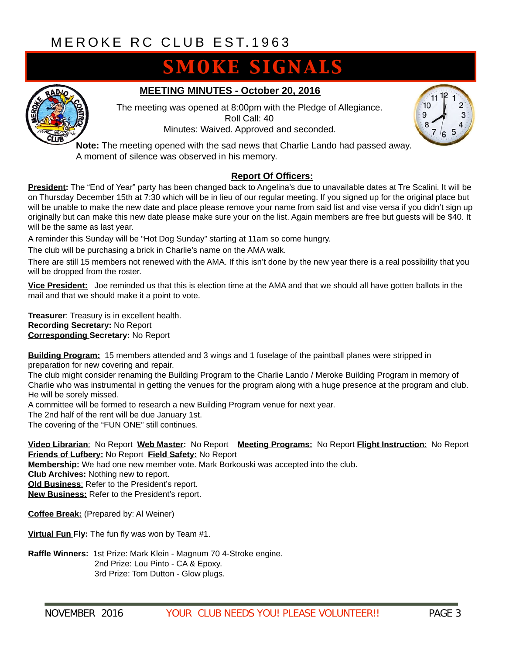## **SMOKE SIGNALS**



#### **MEETING MINUTES - October 20, 2016**

The meeting was opened at 8:00pm with the Pledge of Allegiance. Roll Call: 40 Minutes: Waived. Approved and seconded.



**Note:** The meeting opened with the sad news that Charlie Lando had passed away. A moment of silence was observed in his memory.

#### **Report Of Officers:**

**President:** The "End of Year" party has been changed back to Angelina's due to unavailable dates at Tre Scalini. It will be on Thursday December 15th at 7:30 which will be in lieu of our regular meeting. If you signed up for the original place but will be unable to make the new date and place please remove your name from said list and vise versa if you didn't sign up originally but can make this new date please make sure your on the list. Again members are free but guests will be \$40. It will be the same as last year.

A reminder this Sunday will be "Hot Dog Sunday" starting at 11am so come hungry.

The club will be purchasing a brick in Charlie's name on the AMA walk.

There are still 15 members not renewed with the AMA. If this isn't done by the new year there is a real possibility that you will be dropped from the roster.

**Vice President:** Joe reminded us that this is election time at the AMA and that we should all have gotten ballots in the mail and that we should make it a point to vote.

**Treasurer**: Treasury is in excellent health. **Recording Secretary:** No Report **Corresponding Secretary:** No Report

**Building Program:** 15 members attended and 3 wings and 1 fuselage of the paintball planes were stripped in preparation for new covering and repair.

The club might consider renaming the Building Program to the Charlie Lando / Meroke Building Program in memory of Charlie who was instrumental in getting the venues for the program along with a huge presence at the program and club. He will be sorely missed.

A committee will be formed to research a new Building Program venue for next year.

The 2nd half of the rent will be due January 1st.

The covering of the "FUN ONE" still continues.

**Video Librarian**: No Report **Web Master:** No Report **Meeting Programs:** No Report **Flight Instruction**: No Report **Friends of Lufbery:** No Report **Field Safety:** No Report

**Membership:** We had one new member vote. Mark Borkouski was accepted into the club.

**Club Archives:** Nothing new to report.

**Old Business**: Refer to the President's report.

**New Business:** Refer to the President's report.

**Coffee Break:** (Prepared by: Al Weiner)

**Virtual Fun Fly:** The fun fly was won by Team #1.

**Raffle Winners:** 1st Prize: Mark Klein - Magnum 70 4-Stroke engine. 2nd Prize: Lou Pinto - CA & Epoxy. 3rd Prize: Tom Dutton - Glow plugs.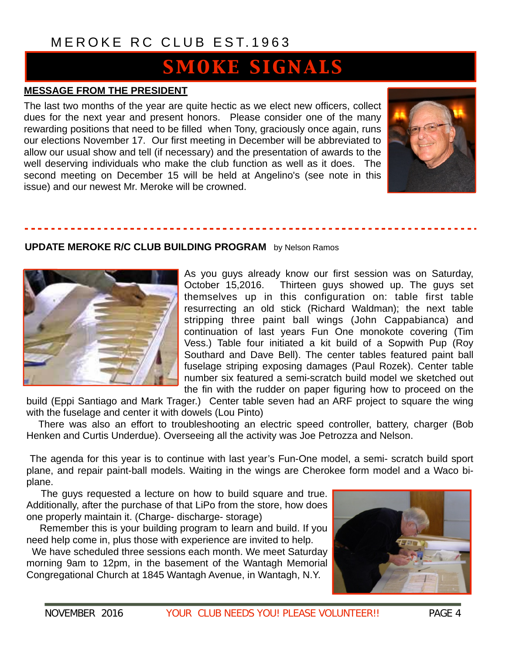### [MEROKE RC CLUB](http://www.meroke.com) EST.1963

# **SMOKE SIGNALS**

#### **MESSAGE FROM THE PRESIDENT**

The last two months of the year are quite hectic as we elect new officers, collect dues for the next year and present honors. Please consider one of the many rewarding positions that need to be filled when Tony, graciously once again, runs our elections November 17. Our first meeting in December will be abbreviated to allow our usual show and tell (if necessary) and the presentation of awards to the well deserving individuals who make the club function as well as it does. The second meeting on December 15 will be held at Angelino's (see note in this issue) and our newest Mr. Meroke will be crowned.



#### **UPDATE MEROKE R/C CLUB BUILDING PROGRAM** by Nelson Ramos



As you guys already know our first session was on Saturday, October 15,2016. Thirteen guys showed up. The guys set themselves up in this configuration on: table first table resurrecting an old stick (Richard Waldman); the next table stripping three paint ball wings (John Cappabianca) and continuation of last years Fun One monokote covering (Tim Vess.) Table four initiated a kit build of a Sopwith Pup (Roy Southard and Dave Bell). The center tables featured paint ball fuselage striping exposing damages (Paul Rozek). Center table number six featured a semi-scratch build model we sketched out the fin with the rudder on paper figuring how to proceed on the

build (Eppi Santiago and Mark Trager.) Center table seven had an ARF project to square the wing with the fuselage and center it with dowels (Lou Pinto)

 There was also an effort to troubleshooting an electric speed controller, battery, charger (Bob Henken and Curtis Underdue). Overseeing all the activity was Joe Petrozza and Nelson.

 The agenda for this year is to continue with last year's Fun-One model, a semi- scratch build sport plane, and repair paint-ball models. Waiting in the wings are Cherokee form model and a Waco biplane.

 The guys requested a lecture on how to build square and true. Additionally, after the purchase of that LiPo from the store, how does one properly maintain it. (Charge- discharge- storage)

 Remember this is your building program to learn and build. If you need help come in, plus those with experience are invited to help.

 We have scheduled three sessions each month. We meet Saturday morning 9am to 12pm, in the basement of the Wantagh Memorial Congregational Church at 1845 Wantagh Avenue, in Wantagh, N.Y.

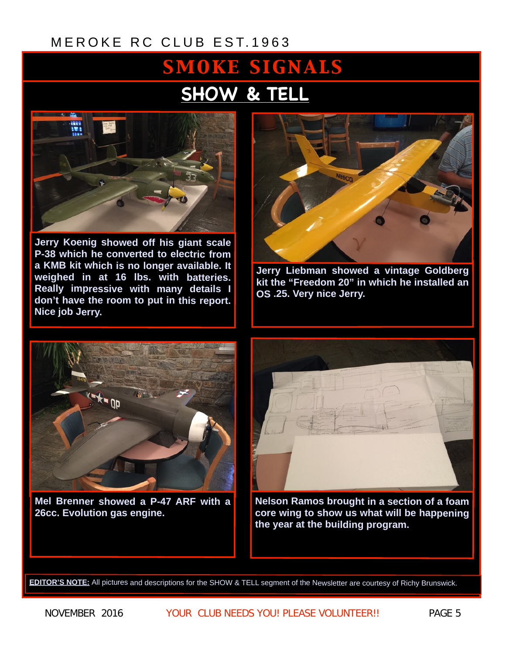### [MEROKE RC CLUB](http://www.meroke.com) EST.1963

# **SMOKE SIGNALS SHOW & TELL**



**Jerry Koenig showed off his giant scale P-38 which he converted to electric from a KMB kit which is no longer available. It weighed in at 16 lbs. with batteries. Really impressive with many details I don't have the room to put in this report. Nice job Jerry.** 



**Jerry Liebman showed a vintage Goldberg kit the "Freedom 20" in which he installed an OS .25. Very nice Jerry.** 



**Mel Brenner showed a P-47 ARF with a 26cc. Evolution gas engine.** 



**Nelson Ramos brought in a section of a foam core wing to show us what will be happening the year at the building program.** 

**EDITOR'S NOTE:** All pictures and descriptions for the SHOW & TELL segment of the Newsletter are courtesy of Richy Brunswick.